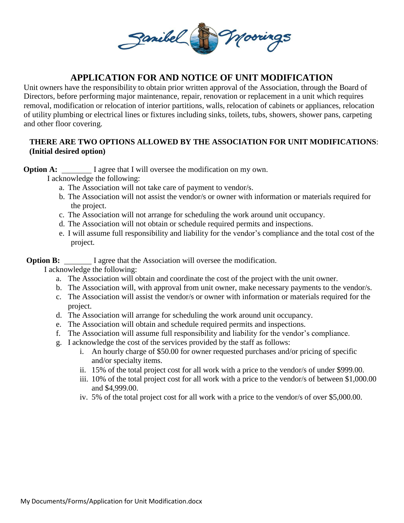

## **APPLICATION FOR AND NOTICE OF UNIT MODIFICATION**

Unit owners have the responsibility to obtain prior written approval of the Association, through the Board of Directors, before performing major maintenance, repair, renovation or replacement in a unit which requires removal, modification or relocation of interior partitions, walls, relocation of cabinets or appliances, relocation of utility plumbing or electrical lines or fixtures including sinks, toilets, tubs, showers, shower pans, carpeting and other floor covering.

## **THERE ARE TWO OPTIONS ALLOWED BY THE ASSOCIATION FOR UNIT MODIFICATIONS**:  **(Initial desired option)**

**Option A:** I agree that I will oversee the modification on my own.

I acknowledge the following:

- a. The Association will not take care of payment to vendor/s.
- b. The Association will not assist the vendor/s or owner with information or materials required for the project.
- c. The Association will not arrange for scheduling the work around unit occupancy.
- d. The Association will not obtain or schedule required permits and inspections.
- e. I will assume full responsibility and liability for the vendor's compliance and the total cost of the project.

**Option B:** I agree that the Association will oversee the modification.

I acknowledge the following:

- a. The Association will obtain and coordinate the cost of the project with the unit owner.
- b. The Association will, with approval from unit owner, make necessary payments to the vendor/s.
- c. The Association will assist the vendor/s or owner with information or materials required for the project.
- d. The Association will arrange for scheduling the work around unit occupancy.
- e. The Association will obtain and schedule required permits and inspections.
- f. The Association will assume full responsibility and liability for the vendor's compliance.
- g. I acknowledge the cost of the services provided by the staff as follows:
	- i. An hourly charge of \$50.00 for owner requested purchases and/or pricing of specific and/or specialty items.
	- ii. 15% of the total project cost for all work with a price to the vendor/s of under \$999.00.
	- iii. 10% of the total project cost for all work with a price to the vendor/s of between \$1,000.00 and \$4,999.00.
	- iv. 5% of the total project cost for all work with a price to the vendor/s of over \$5,000.00.